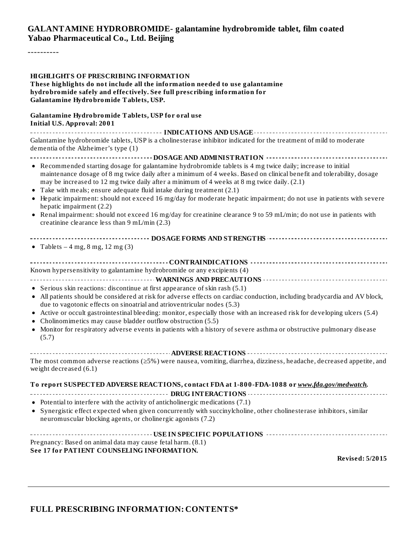#### **GALANTAMINE HYDROBROMIDE- galantamine hydrobromide tablet, film coated Yabao Pharmaceutical Co., Ltd. Beijing**

----------

#### **HIGHLIGHTS OF PRESCRIBING INFORMATION These highlights do not include all the information needed to use galantamine hydrobromide safely and effectively. See full prescribing information for Galantamine Hydrobromide Tablets, USP. Galantamine Hydrobromide Tablets, USP for oral use Initial U.S. Approval: 2001 INDICATIONS AND USAGE INDICATIONS AND USAGE** *CONSIDERATIONS* **AND USAGE** *AND* **USAGE** *AND* **USAGE** *AND AND AND AND AND AND AND AND AND AND AND AND AND AND* Galantamine hydrobromide tablets, USP is a cholinesterase inhibitor indicated for the treatment of mild to moderate dementia of the Alzheimer's type (1) **DOSAGE AND ADMINISTRATION** Recommended starting dosage for galantamine hydrobromide tablets is 4 mg twice daily; increase to initial maintenance dosage of 8 mg twice daily after a minimum of 4 weeks. Based on clinical benefit and tolerability, dosage may be increased to 12 mg twice daily after a minimum of 4 weeks at 8 mg twice daily. (2.1) Take with meals; ensure adequate fluid intake during treatment (2.1) Hepatic impairment: should not exceed 16 mg/day for moderate hepatic impairment; do not use in patients with severe hepatic impairment (2.2) Renal impairment: should not exceed 16 mg/day for creatinine clearance 9 to 59 mL/min; do not use in patients with creatinine clearance less than 9 mL/min (2.3) **DOSAGE FORMS AND STRENGTHS** • Tablets  $-4$  mg,  $8$  mg,  $12$  mg  $(3)$ **CONTRAINDICATIONS** Known hypersensitivity to galantamine hydrobromide or any excipients (4) **WARNINGS AND PRECAUTIONS** • Serious skin reactions: discontinue at first appearance of skin rash (5.1) All patients should be considered at risk for adverse effects on cardiac conduction, including bradycardia and AV block, due to vagotonic effects on sinoatrial and atrioventricular nodes (5.3) Active or occult gastrointestinal bleeding: monitor, especially those with an increased risk for developing ulcers (5.4) Cholinomimetics may cause bladder outflow obstruction (5.5)  $\bullet$  $\bullet$ Monitor for respiratory adverse events in patients with a history of severe asthma or obstructive pulmonary disease (5.7) **ADVERSE REACTIONS** The most common adverse reactions (≥5%) were nausea, vomiting, diarrhea, dizziness, headache, decreased appetite, and weight decreased (6.1) **To report SUSPECTED ADVERSE REACTIONS, contact FDA at 1-800-FDA-1088 or** *www.fda.gov/medwatch.* **DRUG INTERACTIONS** • Potential to interfere with the activity of anticholinergic medications (7.1) Synergistic effect expected when given concurrently with succinylcholine, other cholinesterase inhibitors, similar neuromuscular blocking agents, or cholinergic agonists (7.2) **USE IN SPECIFIC POPULATIONS** Pregnancy: Based on animal data may cause fetal harm. (8.1) **See 17 for PATIENT COUNSELING INFORMATION. Revised: 5/2015**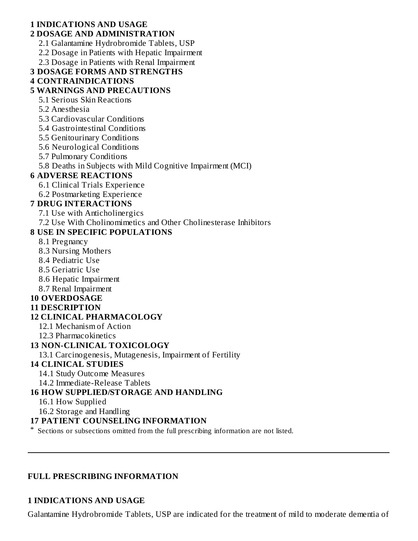#### **1 INDICATIONS AND USAGE 2 DOSAGE AND ADMINISTRATION**

- 2.1 Galantamine Hydrobromide Tablets, USP
- 2.2 Dosage in Patients with Hepatic Impairment
- 2.3 Dosage in Patients with Renal Impairment
- **3 DOSAGE FORMS AND STRENGTHS**

#### **4 CONTRAINDICATIONS**

# **5 WARNINGS AND PRECAUTIONS**

- 5.1 Serious Skin Reactions
- 5.2 Anesthesia
- 5.3 Cardiovascular Conditions
- 5.4 Gastrointestinal Conditions
- 5.5 Genitourinary Conditions
- 5.6 Neurological Conditions
- 5.7 Pulmonary Conditions
- 5.8 Deaths in Subjects with Mild Cognitive Impairment (MCI)

# **6 ADVERSE REACTIONS**

- 6.1 Clinical Trials Experience
- 6.2 Postmarketing Experience

# **7 DRUG INTERACTIONS**

- 7.1 Use with Anticholinergics
- 7.2 Use With Cholinomimetics and Other Cholinesterase Inhibitors

# **8 USE IN SPECIFIC POPULATIONS**

- 8.1 Pregnancy
- 8.3 Nursing Mothers
- 8.4 Pediatric Use
- 8.5 Geriatric Use
- 8.6 Hepatic Impairment
- 8.7 Renal Impairment

# **10 OVERDOSAGE**

# **11 DESCRIPTION**

# **12 CLINICAL PHARMACOLOGY**

- 12.1 Mechanism of Action
- 12.3 Pharmacokinetics

# **13 NON-CLINICAL TOXICOLOGY**

13.1 Carcinogenesis, Mutagenesis, Impairment of Fertility

# **14 CLINICAL STUDIES**

- 14.1 Study Outcome Measures
- 14.2 Immediate-Release Tablets

# **16 HOW SUPPLIED/STORAGE AND HANDLING**

- 16.1 How Supplied
- 16.2 Storage and Handling

# **17 PATIENT COUNSELING INFORMATION**

\* Sections or subsections omitted from the full prescribing information are not listed.

#### **FULL PRESCRIBING INFORMATION**

# **1 INDICATIONS AND USAGE**

Galantamine Hydrobromide Tablets, USP are indicated for the treatment of mild to moderate dementia of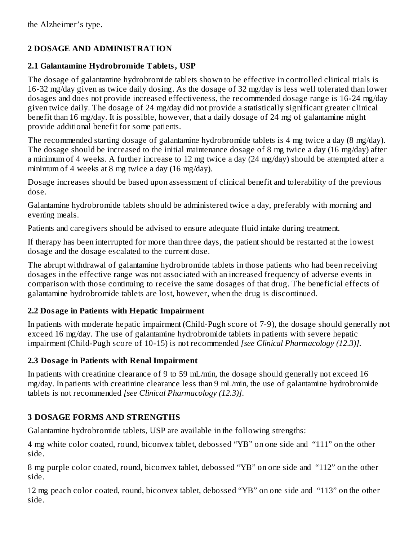# **2 DOSAGE AND ADMINISTRATION**

# **2.1 Galantamine Hydrobromide Tablets, USP**

The dosage of galantamine hydrobromide tablets shown to be effective in controlled clinical trials is 16-32 mg/day given as twice daily dosing. As the dosage of 32 mg/day is less well tolerated than lower dosages and does not provide increased effectiveness, the recommended dosage range is 16-24 mg/day given twice daily. The dosage of 24 mg/day did not provide a statistically significant greater clinical benefit than 16 mg/day. It is possible, however, that a daily dosage of 24 mg of galantamine might provide additional benefit for some patients.

The recommended starting dosage of galantamine hydrobromide tablets is 4 mg twice a day (8 mg/day). The dosage should be increased to the initial maintenance dosage of 8 mg twice a day (16 mg/day) after a minimum of 4 weeks. A further increase to 12 mg twice a day (24 mg/day) should be attempted after a minimum of 4 weeks at 8 mg twice a day (16 mg/day).

Dosage increases should be based upon assessment of clinical benefit and tolerability of the previous dose.

Galantamine hydrobromide tablets should be administered twice a day, preferably with morning and evening meals.

Patients and caregivers should be advised to ensure adequate fluid intake during treatment.

If therapy has been interrupted for more than three days, the patient should be restarted at the lowest dosage and the dosage escalated to the current dose.

The abrupt withdrawal of galantamine hydrobromide tablets in those patients who had been receiving dosages in the effective range was not associated with an increased frequency of adverse events in comparison with those continuing to receive the same dosages of that drug. The beneficial effects of galantamine hydrobromide tablets are lost, however, when the drug is discontinued.

# **2.2 Dosage in Patients with Hepatic Impairment**

In patients with moderate hepatic impairment (Child-Pugh score of 7-9), the dosage should generally not exceed 16 mg/day. The use of galantamine hydrobromide tablets in patients with severe hepatic impairment (Child-Pugh score of 10-15) is not recommended *[see Clinical Pharmacology (12.3)]*.

# **2.3 Dosage in Patients with Renal Impairment**

In patients with creatinine clearance of 9 to 59 mL/min, the dosage should generally not exceed 16 mg/day. In patients with creatinine clearance less than 9 mL/min, the use of galantamine hydrobromide tablets is not recommended *[see Clinical Pharmacology (12.3)]*.

# **3 DOSAGE FORMS AND STRENGTHS**

Galantamine hydrobromide tablets, USP are available in the following strengths:

4 mg white color coated, round, biconvex tablet, debossed "YB" on one side and "111" on the other side.

8 mg purple color coated, round, biconvex tablet, debossed "YB" on one side and "112" on the other side.

12 mg peach color coated, round, biconvex tablet, debossed "YB" on one side and "113" on the other side.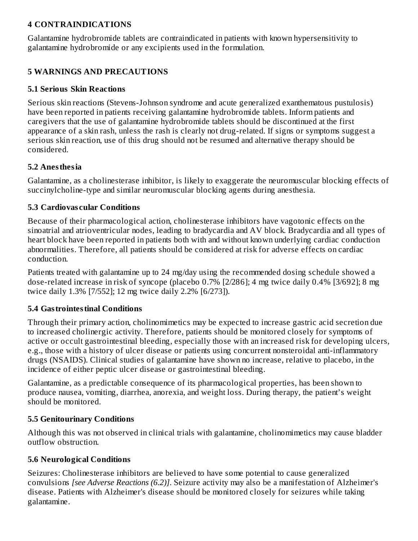#### **4 CONTRAINDICATIONS**

Galantamine hydrobromide tablets are contraindicated in patients with known hypersensitivity to galantamine hydrobromide or any excipients used in the formulation.

# **5 WARNINGS AND PRECAUTIONS**

#### **5.1 Serious Skin Reactions**

Serious skin reactions (Stevens-Johnson syndrome and acute generalized exanthematous pustulosis) have been reported in patients receiving galantamine hydrobromide tablets. Inform patients and caregivers that the use of galantamine hydrobromide tablets should be discontinued at the first appearance of a skin rash, unless the rash is clearly not drug-related. If signs or symptoms suggest a serious skin reaction, use of this drug should not be resumed and alternative therapy should be considered.

#### **5.2 Anesthesia**

Galantamine, as a cholinesterase inhibitor, is likely to exaggerate the neuromuscular blocking effects of succinylcholine-type and similar neuromuscular blocking agents during anesthesia.

#### **5.3 Cardiovas cular Conditions**

Because of their pharmacological action, cholinesterase inhibitors have vagotonic effects on the sinoatrial and atrioventricular nodes, leading to bradycardia and AV block. Bradycardia and all types of heart block have been reported in patients both with and without known underlying cardiac conduction abnormalities. Therefore, all patients should be considered at risk for adverse effects on cardiac conduction.

Patients treated with galantamine up to 24 mg/day using the recommended dosing schedule showed a dose-related increase in risk of syncope (placebo 0.7% [2/286]; 4 mg twice daily 0.4% [3/692]; 8 mg twice daily 1.3% [7/552]; 12 mg twice daily 2.2% [6/273]).

#### **5.4 Gastrointestinal Conditions**

Through their primary action, cholinomimetics may be expected to increase gastric acid secretion due to increased cholinergic activity. Therefore, patients should be monitored closely for symptoms of active or occult gastrointestinal bleeding, especially those with an increased risk for developing ulcers, e.g., those with a history of ulcer disease or patients using concurrent nonsteroidal anti-inflammatory drugs (NSAIDS). Clinical studies of galantamine have shown no increase, relative to placebo, in the incidence of either peptic ulcer disease or gastrointestinal bleeding.

Galantamine, as a predictable consequence of its pharmacological properties, has been shown to produce nausea, vomiting, diarrhea, anorexia, and weight loss. During therapy, the patient's weight should be monitored.

#### **5.5 Genitourinary Conditions**

Although this was not observed in clinical trials with galantamine, cholinomimetics may cause bladder outflow obstruction.

#### **5.6 Neurological Conditions**

Seizures: Cholinesterase inhibitors are believed to have some potential to cause generalized convulsions *[see Adverse Reactions (6.2)]*. Seizure activity may also be a manifestation of Alzheimer's disease. Patients with Alzheimer's disease should be monitored closely for seizures while taking galantamine.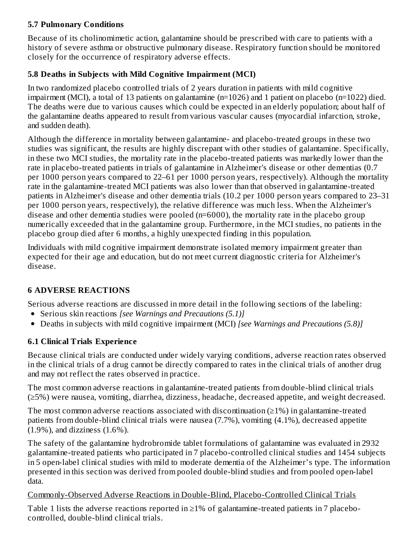#### **5.7 Pulmonary Conditions**

Because of its cholinomimetic action, galantamine should be prescribed with care to patients with a history of severe asthma or obstructive pulmonary disease. Respiratory function should be monitored closely for the occurrence of respiratory adverse effects.

# **5.8 Deaths in Subjects with Mild Cognitive Impairment (MCI)**

In two randomized placebo controlled trials of 2 years duration in patients with mild cognitive impairment (MCI), a total of 13 patients on galantamine (n=1026) and 1 patient on placebo (n=1022) died. The deaths were due to various causes which could be expected in an elderly population; about half of the galantamine deaths appeared to result from various vascular causes (myocardial infarction, stroke, and sudden death).

Although the difference in mortality between galantamine- and placebo-treated groups in these two studies was significant, the results are highly discrepant with other studies of galantamine. Specifically, in these two MCI studies, the mortality rate in the placebo-treated patients was markedly lower than the rate in placebo-treated patients in trials of galantamine in Alzheimer's disease or other dementias (0.7 per 1000 person years compared to 22–61 per 1000 person years, respectively). Although the mortality rate in the galantamine-treated MCI patients was also lower than that observed in galantamine-treated patients in Alzheimer's disease and other dementia trials (10.2 per 1000 person years compared to 23–31 per 1000 person years, respectively), the relative difference was much less. When the Alzheimer's disease and other dementia studies were pooled  $(n=6000)$ , the mortality rate in the placebo group numerically exceeded that in the galantamine group. Furthermore, in the MCI studies, no patients in the placebo group died after 6 months, a highly unexpected finding in this population.

Individuals with mild cognitive impairment demonstrate isolated memory impairment greater than expected for their age and education, but do not meet current diagnostic criteria for Alzheimer's disease.

# **6 ADVERSE REACTIONS**

Serious adverse reactions are discussed in more detail in the following sections of the labeling:

- Serious skin reactions *[see Warnings and Precautions (5.1)]*
- Deaths in subjects with mild cognitive impairment (MCI) *[see Warnings and Precautions (5.8)]*

# **6.1 Clinical Trials Experience**

Because clinical trials are conducted under widely varying conditions, adverse reaction rates observed in the clinical trials of a drug cannot be directly compared to rates in the clinical trials of another drug and may not reflect the rates observed in practice.

The most common adverse reactions in galantamine-treated patients from double-blind clinical trials (≥5%) were nausea, vomiting, diarrhea, dizziness, headache, decreased appetite, and weight decreased.

The most common adverse reactions associated with discontinuation  $(\geq 1\%)$  in galantamine-treated patients from double-blind clinical trials were nausea (7.7%), vomiting (4.1%), decreased appetite (1.9%), and dizziness (1.6%).

The safety of the galantamine hydrobromide tablet formulations of galantamine was evaluated in 2932 galantamine-treated patients who participated in 7 placebo-controlled clinical studies and 1454 subjects in 5 open-label clinical studies with mild to moderate dementia of the Alzheimer's type. The information presented in this section was derived from pooled double-blind studies and from pooled open-label data.

# Commonly-Observed Adverse Reactions in Double-Blind, Placebo-Controlled Clinical Trials

Table 1 lists the adverse reactions reported in  $\geq$ 1% of galantamine-treated patients in 7 placebocontrolled, double-blind clinical trials.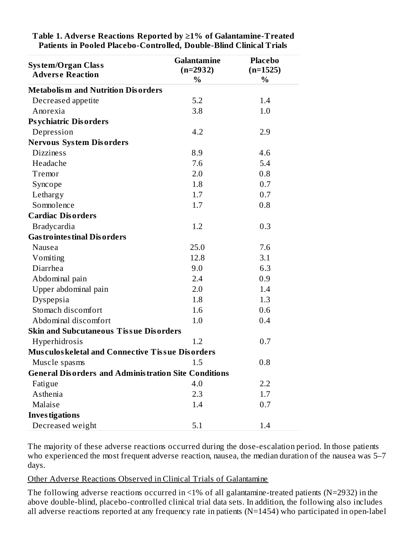| <b>System/Organ Class</b><br><b>Adverse Reaction</b>        | <b>Galantamine</b><br>$(n=2932)$<br>% | <b>Placebo</b><br>$(n=1525)$<br>$\%$ |
|-------------------------------------------------------------|---------------------------------------|--------------------------------------|
| <b>Metabolism and Nutrition Disorders</b>                   |                                       |                                      |
| Decreased appetite                                          | 5.2                                   | 1.4                                  |
| Anorexia                                                    | 3.8                                   | 1.0                                  |
| <b>Psychiatric Disorders</b>                                |                                       |                                      |
| Depression                                                  | 4.2                                   | 2.9                                  |
| <b>Nervous System Disorders</b>                             |                                       |                                      |
| <b>Dizziness</b>                                            | 8.9                                   | 4.6                                  |
| Headache                                                    | 7.6                                   | 5.4                                  |
| Tremor                                                      | 2.0                                   | 0.8                                  |
| Syncope                                                     | 1.8                                   | 0.7                                  |
| Lethargy                                                    | 1.7                                   | 0.7                                  |
| Somnolence                                                  | 1.7                                   | 0.8                                  |
| <b>Cardiac Disorders</b>                                    |                                       |                                      |
| <b>Bradycardia</b>                                          | 1.2                                   | 0.3                                  |
| <b>Gas trointes tinal Disorders</b>                         |                                       |                                      |
| Nausea                                                      | 25.0                                  | 7.6                                  |
| Vomiting                                                    | 12.8                                  | 3.1                                  |
| Diarrhea                                                    | 9.0                                   | 6.3                                  |
| Abdominal pain                                              | 2.4                                   | 0.9                                  |
| Upper abdominal pain                                        | 2.0                                   | 1.4                                  |
| Dyspepsia                                                   | 1.8                                   | 1.3                                  |
| Stomach discomfort                                          | 1.6                                   | 0.6                                  |
| Abdominal discomfort                                        | 1.0                                   | 0.4                                  |
| <b>Skin and Subcutaneous Tissue Disorders</b>               |                                       |                                      |
| Hyperhidrosis                                               | 1.2                                   | 0.7                                  |
| <b>Musculoskeletal and Connective Tissue Disorders</b>      |                                       |                                      |
| Muscle spasms                                               | 1.5                                   | 0.8                                  |
| <b>General Disorders and Administration Site Conditions</b> |                                       |                                      |
| Fatigue                                                     | 4.0                                   | 2.2                                  |
| Asthenia                                                    | 2.3                                   | 1.7                                  |
| Malaise                                                     | 1.4                                   | 0.7                                  |
| <b>Investigations</b>                                       |                                       |                                      |
| Decreased weight                                            | 5.1                                   | 1.4                                  |

**Table 1. Advers e Reactions Reported by ≥1% of Galantamine-Treated Patients in Pooled Placebo-Controlled, Double-Blind Clinical Trials**

controlled, double-blind clinical trials.

The majority of these adverse reactions occurred during the dose-escalation period. In those patients who experienced the most frequent adverse reaction, nausea, the median duration of the nausea was 5–7 days.

#### Other Adverse Reactions Observed in Clinical Trials of Galantamine

The following adverse reactions occurred in <1% of all galantamine-treated patients (N=2932) in the above double-blind, placebo-controlled clinical trial data sets. In addition, the following also includes all adverse reactions reported at any frequency rate in patients (N=1454) who participated in open-label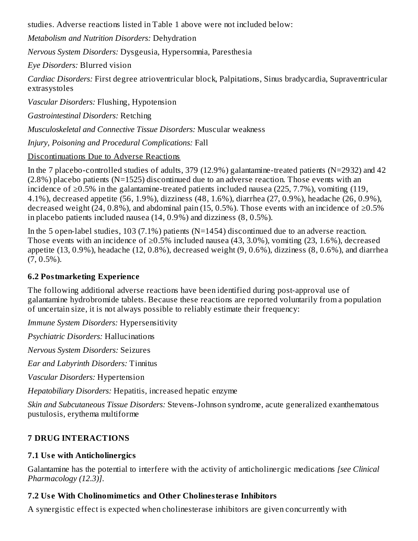studies. Adverse reactions listed in Table 1 above were not included below:

*Metabolism and Nutrition Disorders:* Dehydration

*Nervous System Disorders:* Dysgeusia, Hypersomnia, Paresthesia

*Eye Disorders:* Blurred vision

*Cardiac Disorders:* First degree atrioventricular block, Palpitations, Sinus bradycardia, Supraventricular extrasystoles

*Vascular Disorders:* Flushing, Hypotension

*Gastrointestinal Disorders:* Retching

*Musculoskeletal and Connective Tissue Disorders:* Muscular weakness

*Injury, Poisoning and Procedural Complications:* Fall

# Discontinuations Due to Adverse Reactions

In the 7 placebo-controlled studies of adults, 379 (12.9%) galantamine-treated patients (N=2932) and 42 (2.8%) placebo patients (N=1525) discontinued due to an adverse reaction. Those events with an incidence of ≥0.5% in the galantamine-treated patients included nausea (225, 7.7%), vomiting (119, 4.1%), decreased appetite (56, 1.9%), dizziness (48, 1.6%), diarrhea (27, 0.9%), headache (26, 0.9%), decreased weight (24, 0.8%), and abdominal pain (15, 0.5%). Those events with an incidence of  $\geq$ 0.5% in placebo patients included nausea (14, 0.9%) and dizziness (8, 0.5%).

In the 5 open-label studies, 103 (7.1%) patients (N=1454) discontinued due to an adverse reaction. Those events with an incidence of  $\geq 0.5\%$  included nausea (43, 3.0%), vomiting (23, 1.6%), decreased appetite (13, 0.9%), headache (12, 0.8%), decreased weight (9, 0.6%), dizziness (8, 0.6%), and diarrhea  $(7, 0.5\%)$ .

# **6.2 Postmarketing Experience**

The following additional adverse reactions have been identified during post-approval use of galantamine hydrobromide tablets. Because these reactions are reported voluntarily from a population of uncertain size, it is not always possible to reliably estimate their frequency:

*Immune System Disorders:* Hypersensitivity

*Psychiatric Disorders:* Hallucinations

*Nervous System Disorders:* Seizures

*Ear and Labyrinth Disorders:* Tinnitus

*Vascular Disorders:* Hypertension

*Hepatobiliary Disorders:* Hepatitis, increased hepatic enzyme

*Skin and Subcutaneous Tissue Disorders:* Stevens-Johnson syndrome, acute generalized exanthematous pustulosis, erythema multiforme

# **7 DRUG INTERACTIONS**

# **7.1 Us e with Anticholinergics**

Galantamine has the potential to interfere with the activity of anticholinergic medications *[see Clinical Pharmacology (12.3)]*.

# **7.2 Us e With Cholinomimetics and Other Cholinesteras e Inhibitors**

A synergistic effect is expected when cholinesterase inhibitors are given concurrently with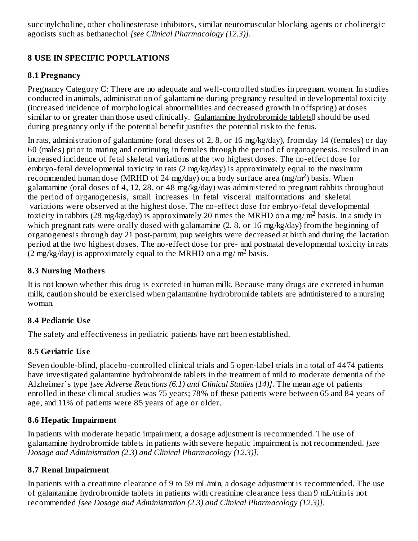succinylcholine, other cholinesterase inhibitors, similar neuromuscular blocking agents or cholinergic agonists such as bethanechol *[see Clinical Pharmacology (12.3)]*.

# **8 USE IN SPECIFIC POPULATIONS**

#### **8.1 Pregnancy**

Pregnancy Category C: There are no adequate and well-controlled studies in pregnant women. In studies conducted in animals, administration of galantamine during pregnancy resulted in developmental toxicity (increased incidence of morphological abnormalities and decreased growth in offspring) at doses similar to or greater than those used clinically. Galantamine hydrobromide tablets<sup>[]</sup> should be used during pregnancy only if the potential benefit justifies the potential risk to the fetus.

In rats, administration of galantamine (oral doses of 2, 8, or 16 mg/kg/day), from day 14 (females) or day 60 (males) prior to mating and continuing in females through the period of organogenesis, resulted in an increased incidence of fetal skeletal variations at the two highest doses. The no-effect dose for embryo-fetal developmental toxicity in rats (2 mg/kg/day) is approximately equal to the maximum recommended human dose (MRHD of 24 mg/day) on a body surface area (mg/m<sup>2</sup>) basis. When galantamine (oral doses of 4, 12, 28, or 48 mg/kg/day) was administered to pregnant rabbits throughout the period of organogenesis, small increases in fetal visceral malformations and skeletal variations were observed at the highest dose. The no-effect dose for embryo-fetal developmental toxicity in rabbits (28 mg/kg/day) is approximately 20 times the MRHD on a mg/ m<sup>2</sup> basis. In a study in which pregnant rats were orally dosed with galantamine (2, 8, or 16 mg/kg/day) from the beginning of organogenesis through day 21 post-partum, pup weights were decreased at birth and during the lactation period at the two highest doses. The no-effect dose for pre- and postnatal developmental toxicity in rats  $(2 \text{ mg/kg/day})$  is approximately equal to the MRHD on a mg/m<sup>2</sup> basis.

#### **8.3 Nursing Mothers**

It is not known whether this drug is excreted in human milk. Because many drugs are excreted in human milk, caution should be exercised when galantamine hydrobromide tablets are administered to a nursing woman.

# **8.4 Pediatric Us e**

The safety and effectiveness in pediatric patients have not been established.

# **8.5 Geriatric Us e**

Seven double-blind, placebo-controlled clinical trials and 5 open-label trials in a total of 4474 patients have investigated galantamine hydrobromide tablets in the treatment of mild to moderate dementia of the Alzheimer's type *[see Adverse Reactions (6.1) and Clinical Studies (14)]*. The mean age of patients enrolled in these clinical studies was 75 years; 78% of these patients were between 65 and 84 years of age, and 11% of patients were 85 years of age or older.

# **8.6 Hepatic Impairment**

In patients with moderate hepatic impairment, a dosage adjustment is recommended. The use of galantamine hydrobromide tablets in patients with severe hepatic impairment is not recommended. *[see Dosage and Administration (2.3) and Clinical Pharmacology (12.3)]*.

# **8.7 Renal Impairment**

In patients with a creatinine clearance of 9 to 59 mL/min, a dosage adjustment is recommended. The use of galantamine hydrobromide tablets in patients with creatinine clearance less than 9 mL/min is not recommended *[see Dosage and Administration (2.3) and Clinical Pharmacology (12.3)]*.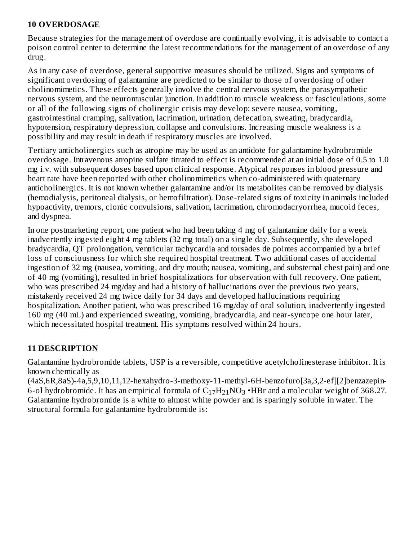#### **10 OVERDOSAGE**

Because strategies for the management of overdose are continually evolving, it is advisable to contact a poison control center to determine the latest recommendations for the management of an overdose of any drug.

As in any case of overdose, general supportive measures should be utilized. Signs and symptoms of significant overdosing of galantamine are predicted to be similar to those of overdosing of other cholinomimetics. These effects generally involve the central nervous system, the parasympathetic nervous system, and the neuromuscular junction. In addition to muscle weakness or fasciculations, some or all of the following signs of cholinergic crisis may develop: severe nausea, vomiting, gastrointestinal cramping, salivation, lacrimation, urination, defecation, sweating, bradycardia, hypotension, respiratory depression, collapse and convulsions. Increasing muscle weakness is a possibility and may result in death if respiratory muscles are involved.

Tertiary anticholinergics such as atropine may be used as an antidote for galantamine hydrobromide overdosage. Intravenous atropine sulfate titrated to effect is recommended at an initial dose of 0.5 to 1.0 mg i.v. with subsequent doses based upon clinical response. Atypical responses in blood pressure and heart rate have been reported with other cholinomimetics when co-administered with quaternary anticholinergics. It is not known whether galantamine and/or its metabolites can be removed by dialysis (hemodialysis, peritoneal dialysis, or hemofiltration). Dose-related signs of toxicity in animals included hypoactivity, tremors, clonic convulsions, salivation, lacrimation, chromodacryorrhea, mucoid feces, and dyspnea.

In one postmarketing report, one patient who had been taking 4 mg of galantamine daily for a week inadvertently ingested eight 4 mg tablets (32 mg total) on a single day. Subsequently, she developed bradycardia, QT prolongation, ventricular tachycardia and torsades de pointes accompanied by a brief loss of consciousness for which she required hospital treatment. Two additional cases of accidental ingestion of 32 mg (nausea, vomiting, and dry mouth; nausea, vomiting, and substernal chest pain) and one of 40 mg (vomiting), resulted in brief hospitalizations for observation with full recovery. One patient, who was prescribed 24 mg/day and had a history of hallucinations over the previous two vears, mistakenly received 24 mg twice daily for 34 days and developed hallucinations requiring hospitalization. Another patient, who was prescribed 16 mg/day of oral solution, inadvertently ingested 160 mg (40 mL) and experienced sweating, vomiting, bradycardia, and near-syncope one hour later, which necessitated hospital treatment. His symptoms resolved within 24 hours.

#### **11 DESCRIPTION**

Galantamine hydrobromide tablets, USP is a reversible, competitive acetylcholinesterase inhibitor. It is known chemically as

(4aS,6R,8aS)-4a,5,9,10,11,12-hexahydro-3-methoxy-11-methyl-6H-benzofuro[3a,3,2-ef][2]benzazepin-6-ol hydrobromide. It has an empirical formula of  $\rm C_{17}H_{21}NO_3$  •HBr and a molecular weight of 368.27. Galantamine hydrobromide is a white to almost white powder and is sparingly soluble in water. The structural formula for galantamine hydrobromide is: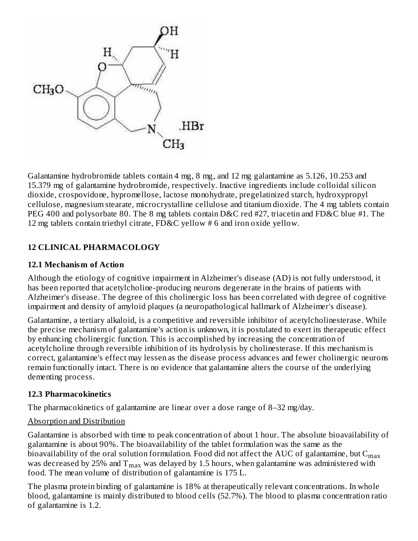

Galantamine hydrobromide tablets contain 4 mg, 8 mg, and 12 mg galantamine as 5.126, 10.253 and 15.379 mg of galantamine hydrobromide, respectively. Inactive ingredients include colloidal silicon dioxide, crospovidone, hypromellose, lactose monohydrate, pregelatinized starch, hydroxypropyl cellulose, magnesium stearate, microcrystalline cellulose and titanium dioxide. The 4 mg tablets contain PEG 400 and polysorbate 80. The 8 mg tablets contain D&C red #27, triacetin and FD&C blue #1. The 12 mg tablets contain triethyl citrate, FD&C yellow # 6 and iron oxide yellow.

# **12 CLINICAL PHARMACOLOGY**

#### **12.1 Mechanism of Action**

Although the etiology of cognitive impairment in Alzheimer's disease (AD) is not fully understood, it has been reported that acetylcholine-producing neurons degenerate in the brains of patients with Alzheimer's disease. The degree of this cholinergic loss has been correlated with degree of cognitive impairment and density of amyloid plaques (a neuropathological hallmark of Alzheimer's disease).

Galantamine, a tertiary alkaloid, is a competitive and reversible inhibitor of acetylcholinesterase. While the precise mechanism of galantamine's action is unknown, it is postulated to exert its therapeutic effect by enhancing cholinergic function. This is accomplished by increasing the concentration of acetylcholine through reversible inhibition of its hydrolysis by cholinesterase. If this mechanism is correct, galantamine's effect may lessen as the disease process advances and fewer cholinergic neurons remain functionally intact. There is no evidence that galantamine alters the course of the underlying dementing process.

#### **12.3 Pharmacokinetics**

The pharmacokinetics of galantamine are linear over a dose range of 8–32 mg/day.

#### Absorption and Distribution

Galantamine is absorbed with time to peak concentration of about 1 hour. The absolute bioavailability of galantamine is about 90%. The bioavailability of the tablet formulation was the same as the bioavailability of the oral solution formulation. Food did not affect the AUC of galantamine, but  $\mathsf{C}_{\max}$ was decreased by 25% and  $\rm T_{max}$  was delayed by 1.5 hours, when galantamine was administered with food. The mean volume of distribution of galantamine is 175 L.

The plasma protein binding of galantamine is 18% at therapeutically relevant concentrations. In whole blood, galantamine is mainly distributed to blood cells (52.7%). The blood to plasma concentration ratio of galantamine is 1.2.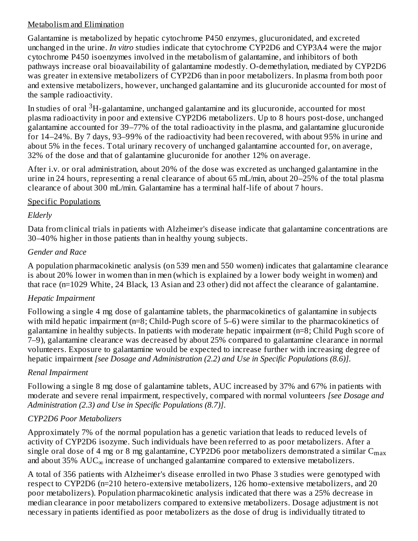#### Metabolism and Elimination

Galantamine is metabolized by hepatic cytochrome P450 enzymes, glucuronidated, and excreted unchanged in the urine. *In vitro* studies indicate that cytochrome CYP2D6 and CYP3A4 were the major cytochrome P450 isoenzymes involved in the metabolism of galantamine, and inhibitors of both pathways increase oral bioavailability of galantamine modestly. O-demethylation, mediated by CYP2D6 was greater in extensive metabolizers of CYP2D6 than in poor metabolizers. In plasma from both poor and extensive metabolizers, however, unchanged galantamine and its glucuronide accounted for most of the sample radioactivity.

In studies of oral  $^3\mathrm{H}\text{-}$ galantamine, unchanged galantamine and its glucuronide, accounted for most plasma radioactivity in poor and extensive CYP2D6 metabolizers. Up to 8 hours post-dose, unchanged galantamine accounted for 39–77% of the total radioactivity in the plasma, and galantamine glucuronide for 14–24%. By 7 days, 93–99% of the radioactivity had been recovered, with about 95% in urine and about 5% in the feces. Total urinary recovery of unchanged galantamine accounted for, on average, 32% of the dose and that of galantamine glucuronide for another 12% on average.

After i.v. or oral administration, about 20% of the dose was excreted as unchanged galantamine in the urine in 24 hours, representing a renal clearance of about 65 mL/min, about 20–25% of the total plasma clearance of about 300 mL/min. Galantamine has a terminal half-life of about 7 hours.

#### Specific Populations

# *Elderly*

Data from clinical trials in patients with Alzheimer's disease indicate that galantamine concentrations are 30–40% higher in those patients than in healthy young subjects.

# *Gender and Race*

A population pharmacokinetic analysis (on 539 men and 550 women) indicates that galantamine clearance is about 20% lower in women than in men (which is explained by a lower body weight in women) and that race (n=1029 White, 24 Black, 13 Asian and 23 other) did not affect the clearance of galantamine.

# *Hepatic Impairment*

Following a single 4 mg dose of galantamine tablets, the pharmacokinetics of galantamine in subjects with mild hepatic impairment (n=8; Child-Pugh score of 5–6) were similar to the pharmacokinetics of galantamine in healthy subjects. In patients with moderate hepatic impairment (n=8; Child Pugh score of 7–9), galantamine clearance was decreased by about 25% compared to galantamine clearance in normal volunteers. Exposure to galantamine would be expected to increase further with increasing degree of hepatic impairment *[see Dosage and Administration (2.2) and Use in Specific Populations (8.6)]*.

# *Renal Impairment*

Following a single 8 mg dose of galantamine tablets, AUC increased by 37% and 67% in patients with moderate and severe renal impairment, respectively, compared with normal volunteers *[see Dosage and Administration (2.3) and Use in Specific Populations (8.7)]*.

# *CYP2D6 Poor Metabolizers*

Approximately 7% of the normal population has a genetic variation that leads to reduced levels of activity of CYP2D6 isozyme. Such individuals have been referred to as poor metabolizers. After a single oral dose of 4 mg or 8 mg galantamine, CYP2D6 poor metabolizers demonstrated a similar  $\mathsf{C}_{\max}$ and about 35%  $\mathrm{AUC_\infty}$  increase of unchanged galantamine compared to extensive metabolizers.

A total of 356 patients with Alzheimer's disease enrolled in two Phase 3 studies were genotyped with respect to CYP2D6 (n=210 hetero-extensive metabolizers, 126 homo-extensive metabolizers, and 20 poor metabolizers). Population pharmacokinetic analysis indicated that there was a 25% decrease in median clearance in poor metabolizers compared to extensive metabolizers. Dosage adjustment is not necessary in patients identified as poor metabolizers as the dose of drug is individually titrated to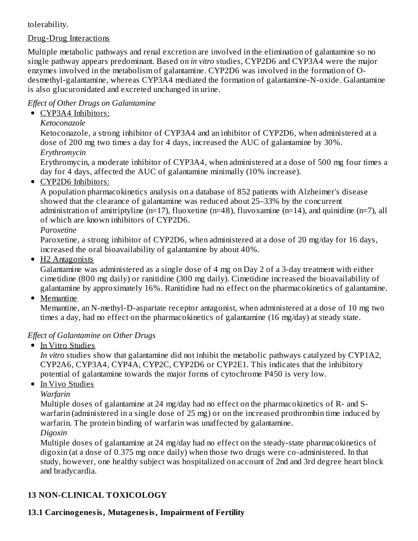# tolerability.

# Drug-Drug Interactions

Multiple metabolic pathways and renal excretion are involved in the elimination of galantamine so no single pathway appears predominant. Based on *in vitro* studies, CYP2D6 and CYP3A4 were the major enzymes involved in the metabolism of galantamine. CYP2D6 was involved in the formation of Odesmethyl-galantamine, whereas CYP3A4 mediated the formation of galantamine-N-oxide. Galantamine is also glucuronidated and excreted unchanged in urine.

# *Effect of Other Drugs on Galantamine*

# • CYP3A4 Inhibitors:

*Ketoconazole*

Ketoconazole, a strong inhibitor of CYP3A4 and an inhibitor of CYP2D6, when administered at a dose of 200 mg two times a day for 4 days, increased the AUC of galantamine by 30%. *Erythromycin*

Erythromycin, a moderate inhibitor of CYP3A4, when administered at a dose of 500 mg four times a day for 4 days, affected the AUC of galantamine minimally (10% increase).

• CYP2D6 Inhibitors:

A population pharmacokinetics analysis on a database of 852 patients with Alzheimer's disease showed that the clearance of galantamine was reduced about 25–33% by the concurrent administration of amitriptyline (n=17), fluoxetine (n=48), fluvoxamine (n=14), and quinidine (n=7), all of which are known inhibitors of CYP2D6.

*Paroxetine*

Paroxetine, a strong inhibitor of CYP2D6, when administered at a dose of 20 mg/day for 16 days, increased the oral bioavailability of galantamine by about 40%.

• H<sub>2</sub> Antagonists

Galantamine was administered as a single dose of 4 mg on Day 2 of a 3-day treatment with either cimetidine (800 mg daily) or ranitidine (300 mg daily). Cimetidine increased the bioavailability of galantamine by approximately 16%. Ranitidine had no effect on the pharmacokinetics of galantamine.

• Memantine

Memantine, an N-methyl-D-aspartate receptor antagonist, when administered at a dose of 10 mg two times a day, had no effect on the pharmacokinetics of galantamine (16 mg/day) at steady state.

# *Effect of Galantamine on Other Drugs*

• In Vitro Studies

*In vitro* studies show that galantamine did not inhibit the metabolic pathways catalyzed by CYP1A2, CYP2A6, CYP3A4, CYP4A, CYP2C, CYP2D6 or CYP2E1. This indicates that the inhibitory potential of galantamine towards the major forms of cytochrome P450 is very low.

• In Vivo Studies

*Warfarin*

Multiple doses of galantamine at 24 mg/day had no effect on the pharmacokinetics of R- and Swarfarin (administered in a single dose of 25 mg) or on the increased prothrombin time induced by warfarin. The protein binding of warfarin was unaffected by galantamine. *Digoxin*

Multiple doses of galantamine at 24 mg/day had no effect on the steady-state pharmacokinetics of digoxin (at a dose of 0.375 mg once daily) when those two drugs were co-administered. In that study, however, one healthy subject was hospitalized on account of 2nd and 3rd degree heart block and bradycardia.

# **13 NON-CLINICAL TOXICOLOGY**

# **13.1 Carcinogenesis, Mutagenesis, Impairment of Fertility**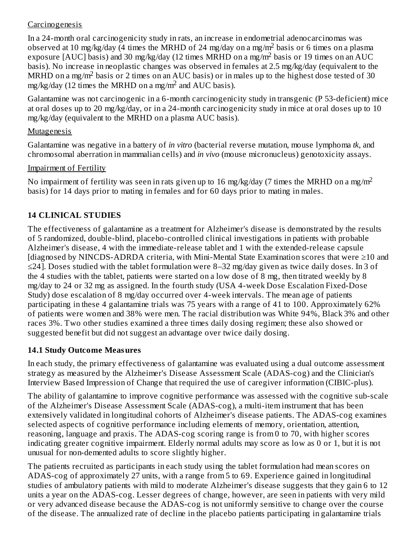#### **Carcinogenesis**

In a 24-month oral carcinogenicity study in rats, an increase in endometrial adenocarcinomas was observed at 10 mg/kg/day (4 times the MRHD of 24 mg/day on a mg/m<sup>2</sup> basis or 6 times on a plasma exposure [AUC] basis) and 30 mg/kg/day (12 times MRHD on a mg/m<sup>2</sup> basis or 19 times on an AUC basis). No increase in neoplastic changes was observed in females at 2.5 mg/kg/day (equivalent to the MRHD on a mg/m<sup>2</sup> basis or 2 times on an AUC basis) or in males up to the highest dose tested of 30 mg/kg/day (12 times the MRHD on a mg/m<sup>2</sup> and AUC basis).

Galantamine was not carcinogenic in a 6-month carcinogenicity study in transgenic (P 53-deficient) mice at oral doses up to 20 mg/kg/day, or in a 24-month carcinogenicity study in mice at oral doses up to 10 mg/kg/day (equivalent to the MRHD on a plasma AUC basis).

#### **Mutagenesis**

Galantamine was negative in a battery of *in vitro* (bacterial reverse mutation, mouse lymphoma *tk*, and chromosomal aberration in mammalian cells) and *in vivo* (mouse micronucleus) genotoxicity assays.

#### Impairment of Fertility

No impairment of fertility was seen in rats given up to 16 mg/kg/day (7 times the MRHD on a mg/m<sup>2</sup> basis) for 14 days prior to mating in females and for 60 days prior to mating in males.

# **14 CLINICAL STUDIES**

The effectiveness of galantamine as a treatment for Alzheimer's disease is demonstrated by the results of 5 randomized, double-blind, placebo-controlled clinical investigations in patients with probable Alzheimer's disease, 4 with the immediate-release tablet and 1 with the extended-release capsule [diagnosed by NINCDS-ADRDA criteria, with Mini-Mental State Examination scores that were ≥10 and ≤24]. Doses studied with the tablet formulation were 8–32 mg/day given as twice daily doses. In 3 of the 4 studies with the tablet, patients were started on a low dose of 8 mg, then titrated weekly by 8 mg/day to 24 or 32 mg as assigned. In the fourth study (USA 4-week Dose Escalation Fixed-Dose Study) dose escalation of 8 mg/day occurred over 4-week intervals. The mean age of patients participating in these 4 galantamine trials was 75 years with a range of 41 to 100. Approximately 62% of patients were women and 38% were men. The racial distribution was White 94%, Black 3% and other races 3%. Two other studies examined a three times daily dosing regimen; these also showed or suggested benefit but did not suggest an advantage over twice daily dosing.

# **14.1 Study Outcome Measures**

In each study, the primary effectiveness of galantamine was evaluated using a dual outcome assessment strategy as measured by the Alzheimer's Disease Assessment Scale (ADAS-cog) and the Clinician's Interview Based Impression of Change that required the use of caregiver information (CIBIC-plus).

The ability of galantamine to improve cognitive performance was assessed with the cognitive sub-scale of the Alzheimer's Disease Assessment Scale (ADAS-cog), a multi-item instrument that has been extensively validated in longitudinal cohorts of Alzheimer's disease patients. The ADAS-cog examines selected aspects of cognitive performance including elements of memory, orientation, attention, reasoning, language and praxis. The ADAS-cog scoring range is from 0 to 70, with higher scores indicating greater cognitive impairment. Elderly normal adults may score as low as 0 or 1, but it is not unusual for non-demented adults to score slightly higher.

The patients recruited as participants in each study using the tablet formulation had mean scores on ADAS-cog of approximately 27 units, with a range from 5 to 69. Experience gained in longitudinal studies of ambulatory patients with mild to moderate Alzheimer's disease suggests that they gain 6 to 12 units a year on the ADAS-cog. Lesser degrees of change, however, are seen in patients with very mild or very advanced disease because the ADAS-cog is not uniformly sensitive to change over the course of the disease. The annualized rate of decline in the placebo patients participating in galantamine trials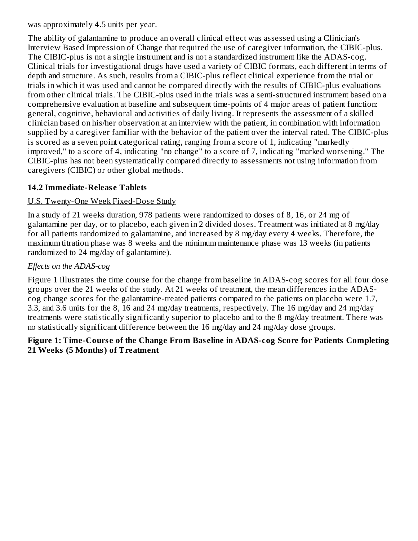was approximately 4.5 units per year.

The ability of galantamine to produce an overall clinical effect was assessed using a Clinician's Interview Based Impression of Change that required the use of caregiver information, the CIBIC-plus. The CIBIC-plus is not a single instrument and is not a standardized instrument like the ADAS-cog. Clinical trials for investigational drugs have used a variety of CIBIC formats, each different in terms of depth and structure. As such, results from a CIBIC-plus reflect clinical experience from the trial or trials in which it was used and cannot be compared directly with the results of CIBIC-plus evaluations from other clinical trials. The CIBIC-plus used in the trials was a semi-structured instrument based on a comprehensive evaluation at baseline and subsequent time-points of 4 major areas of patient function: general, cognitive, behavioral and activities of daily living. It represents the assessment of a skilled clinician based on his/her observation at an interview with the patient, in combination with information supplied by a caregiver familiar with the behavior of the patient over the interval rated. The CIBIC-plus is scored as a seven point categorical rating, ranging from a score of 1, indicating "markedly improved," to a score of 4, indicating "no change" to a score of 7, indicating "marked worsening." The CIBIC-plus has not been systematically compared directly to assessments not using information from caregivers (CIBIC) or other global methods.

# **14.2 Immediate-Releas e Tablets**

# U.S. Twenty-One Week Fixed-Dose Study

In a study of 21 weeks duration, 978 patients were randomized to doses of 8, 16, or 24 mg of galantamine per day, or to placebo, each given in 2 divided doses. Treatment was initiated at 8 mg/day for all patients randomized to galantamine, and increased by 8 mg/day every 4 weeks. Therefore, the maximum titration phase was 8 weeks and the minimum maintenance phase was 13 weeks (in patients randomized to 24 mg/day of galantamine).

# *Effects on the ADAS-cog*

Figure 1 illustrates the time course for the change from baseline in ADAS-cog scores for all four dose groups over the 21 weeks of the study. At 21 weeks of treatment, the mean differences in the ADAScog change scores for the galantamine-treated patients compared to the patients on placebo were 1.7, 3.3, and 3.6 units for the 8, 16 and 24 mg/day treatments, respectively. The 16 mg/day and 24 mg/day treatments were statistically significantly superior to placebo and to the 8 mg/day treatment. There was no statistically significant difference between the 16 mg/day and 24 mg/day dose groups.

#### **Figure 1: Time-Cours e of the Change From Bas eline in ADAS-cog Score for Patients Completing 21 Weeks (5 Months) of Treatment**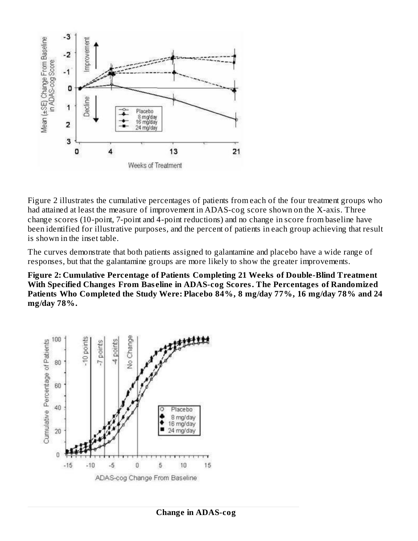

Figure 2 illustrates the cumulative percentages of patients from each of the four treatment groups who had attained at least the measure of improvement in ADAS-cog score shown on the X-axis. Three change scores (10-point, 7-point and 4-point reductions) and no change in score from baseline have been identified for illustrative purposes, and the percent of patients in each group achieving that result is shown in the inset table.

The curves demonstrate that both patients assigned to galantamine and placebo have a wide range of responses, but that the galantamine groups are more likely to show the greater improvements.

**Figure 2: Cumulative Percentage of Patients Completing 21 Weeks of Double-Blind Treatment With Specified Changes From Bas eline in ADAS-cog Scores. The Percentages of Randomized Patients Who Completed the Study Were: Placebo 84%, 8 mg/day 77%, 16 mg/day 78% and 24 mg/day 78%.**

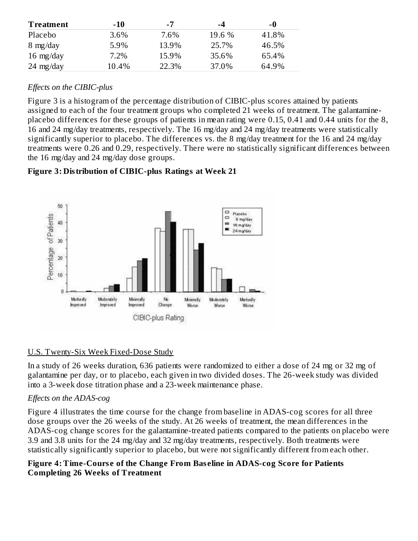| <b>Treatment</b>    | $-10$ | -7    | -4     | -0    |
|---------------------|-------|-------|--------|-------|
| Placebo             | 3.6%  | 7.6%  | 19.6 % | 41.8% |
| $8 \text{ mg/day}$  | 5.9%  | 13.9% | 25.7%  | 46.5% |
| $16 \text{ mg/day}$ | 7.2%  | 15.9% | 35.6%  | 65.4% |
| $24 \text{ mg/day}$ | 10.4% | 22.3% | 37.0%  | 64.9% |

# *Effects on the CIBIC-plus*

Figure 3 is a histogram of the percentage distribution of CIBIC-plus scores attained by patients assigned to each of the four treatment groups who completed 21 weeks of treatment. The galantamineplacebo differences for these groups of patients in mean rating were 0.15, 0.41 and 0.44 units for the 8, 16 and 24 mg/day treatments, respectively. The 16 mg/day and 24 mg/day treatments were statistically significantly superior to placebo. The differences vs. the 8 mg/day treatment for the 16 and 24 mg/day treatments were 0.26 and 0.29, respectively. There were no statistically significant differences between the 16 mg/day and 24 mg/day dose groups.

# **Figure 3: Distribution of CIBIC-plus Ratings at Week 21**



# U.S. Twenty-Six Week Fixed-Dose Study

In a study of 26 weeks duration, 636 patients were randomized to either a dose of 24 mg or 32 mg of galantamine per day, or to placebo, each given in two divided doses. The 26-week study was divided into a 3-week dose titration phase and a 23-week maintenance phase.

# *Effects on the ADAS-cog*

Figure 4 illustrates the time course for the change from baseline in ADAS-cog scores for all three dose groups over the 26 weeks of the study. At 26 weeks of treatment, the mean differences in the ADAS-cog change scores for the galantamine-treated patients compared to the patients on placebo were 3.9 and 3.8 units for the 24 mg/day and 32 mg/day treatments, respectively. Both treatments were statistically significantly superior to placebo, but were not significantly different from each other.

#### **Figure 4: Time-Cours e of the Change From Bas eline in ADAS-cog Score for Patients Completing 26 Weeks of Treatment**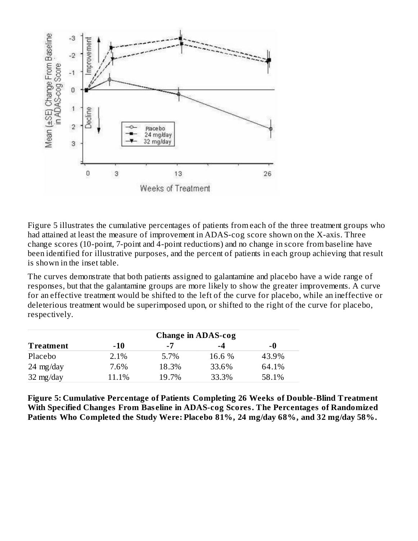

Figure 5 illustrates the cumulative percentages of patients from each of the three treatment groups who had attained at least the measure of improvement in ADAS-cog score shown on the X-axis. Three change scores (10-point, 7-point and 4-point reductions) and no change in score from baseline have been identified for illustrative purposes, and the percent of patients in each group achieving that result is shown in the inset table.

The curves demonstrate that both patients assigned to galantamine and placebo have a wide range of responses, but that the galantamine groups are more likely to show the greater improvements. A curve for an effective treatment would be shifted to the left of the curve for placebo, while an ineffective or deleterious treatment would be superimposed upon, or shifted to the right of the curve for placebo, respectively.

|                     |       |       | <b>Change in ADAS-cog</b> |       |
|---------------------|-------|-------|---------------------------|-------|
| <b>Treatment</b>    | $-10$ | -7    | -4                        | -0    |
| Placebo             | 2.1%  | 5.7%  | 16.6 %                    | 43.9% |
| $24 \text{ mg/day}$ | 7.6%  | 18.3% | 33.6%                     | 64.1% |
| $32 \text{ mg/day}$ | 11.1% | 19.7% | 33.3%                     | 58.1% |

**Figure 5: Cumulative Percentage of Patients Completing 26 Weeks of Double-Blind Treatment With Specified Changes From Bas eline in ADAS-cog Scores. The Percentages of Randomized Patients Who Completed the Study Were: Placebo 81%, 24 mg/day 68%, and 32 mg/day 58%.**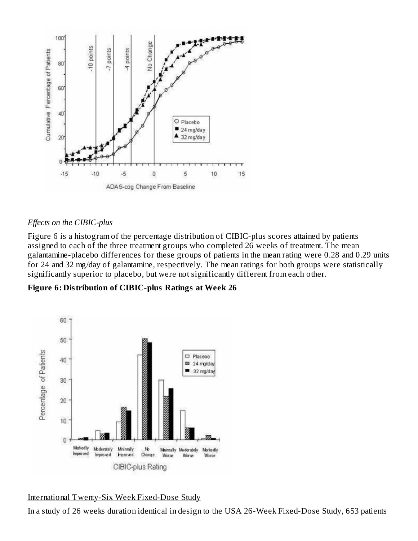

#### *Effects on the CIBIC-plus*

Figure 6 is a histogram of the percentage distribution of CIBIC-plus scores attained by patients assigned to each of the three treatment groups who completed 26 weeks of treatment. The mean galantamine-placebo differences for these groups of patients in the mean rating were 0.28 and 0.29 units for 24 and 32 mg/day of galantamine, respectively. The mean ratings for both groups were statistically significantly superior to placebo, but were not significantly different from each other.

**Figure 6: Distribution of CIBIC-plus Ratings at Week 26**



# International Twenty-Six Week Fixed-Dose Study

In a study of 26 weeks duration identical in design to the USA 26-Week Fixed-Dose Study, 653 patients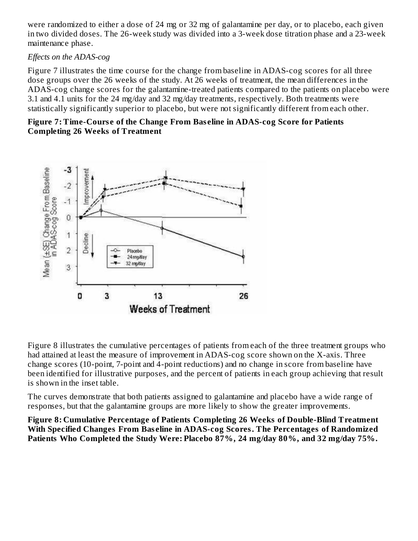were randomized to either a dose of 24 mg or 32 mg of galantamine per day, or to placebo, each given in two divided doses. The 26-week study was divided into a 3-week dose titration phase and a 23-week maintenance phase.

#### *Effects on the ADAS-cog*

Figure 7 illustrates the time course for the change from baseline in ADAS-cog scores for all three dose groups over the 26 weeks of the study. At 26 weeks of treatment, the mean differences in the ADAS-cog change scores for the galantamine-treated patients compared to the patients on placebo were 3.1 and 4.1 units for the 24 mg/day and 32 mg/day treatments, respectively. Both treatments were statistically significantly superior to placebo, but were not significantly different from each other.

#### **Figure 7: Time-Cours e of the Change From Bas eline in ADAS-cog Score for Patients Completing 26 Weeks of Treatment**



Figure 8 illustrates the cumulative percentages of patients from each of the three treatment groups who had attained at least the measure of improvement in ADAS-cog score shown on the X-axis. Three change scores (10-point, 7-point and 4-point reductions) and no change in score from baseline have been identified for illustrative purposes, and the percent of patients in each group achieving that result is shown in the inset table.

The curves demonstrate that both patients assigned to galantamine and placebo have a wide range of responses, but that the galantamine groups are more likely to show the greater improvements.

**Figure 8: Cumulative Percentage of Patients Completing 26 Weeks of Double-Blind Treatment With Specified Changes From Bas eline in ADAS-cog Scores. The Percentages of Randomized Patients Who Completed the Study Were: Placebo 87%, 24 mg/day 80%, and 32 mg/day 75%.**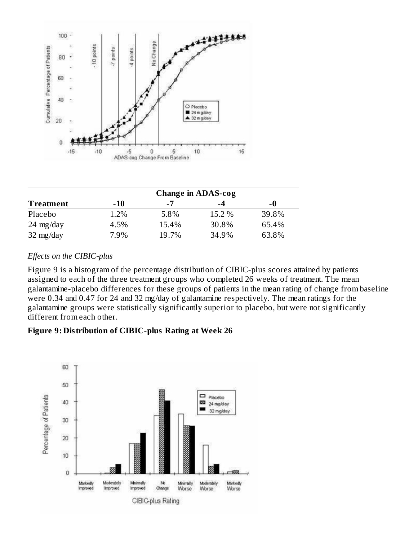

|                     | <b>Change in ADAS-cog</b> |       |        |       |  |  |  |
|---------------------|---------------------------|-------|--------|-------|--|--|--|
| <b>Treatment</b>    | $-10$                     | $-7$  | -4     | -0    |  |  |  |
| Placebo             | 1.2%                      | 5.8%  | 15.2 % | 39.8% |  |  |  |
| $24 \text{ mg/day}$ | 4.5%                      | 15.4% | 30.8%  | 65.4% |  |  |  |
| $32 \text{ mg/day}$ | 7.9%                      | 19.7% | 34.9%  | 63.8% |  |  |  |

#### *Effects on the CIBIC-plus*

Figure 9 is a histogram of the percentage distribution of CIBIC-plus scores attained by patients assigned to each of the three treatment groups who completed 26 weeks of treatment. The mean galantamine-placebo differences for these groups of patients in the mean rating of change from baseline were 0.34 and 0.47 for 24 and 32 mg/day of galantamine respectively. The mean ratings for the galantamine groups were statistically significantly superior to placebo, but were not significantly different from each other.

#### **Figure 9: Distribution of CIBIC-plus Rating at Week 26**

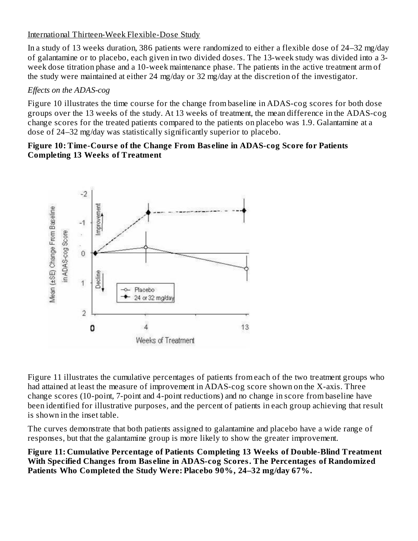#### International Thirteen-Week Flexible-Dose Study

In a study of 13 weeks duration, 386 patients were randomized to either a flexible dose of 24–32 mg/day of galantamine or to placebo, each given in two divided doses. The 13-week study was divided into a 3 week dose titration phase and a 10-week maintenance phase. The patients in the active treatment arm of the study were maintained at either 24 mg/day or 32 mg/day at the discretion of the investigator.

#### *Effects on the ADAS-cog*

Figure 10 illustrates the time course for the change from baseline in ADAS-cog scores for both dose groups over the 13 weeks of the study. At 13 weeks of treatment, the mean difference in the ADAS-cog change scores for the treated patients compared to the patients on placebo was 1.9. Galantamine at a dose of 24–32 mg/day was statistically significantly superior to placebo.

#### **Figure 10: Time-Cours e of the Change From Bas eline in ADAS-cog Score for Patients Completing 13 Weeks of Treatment**



Figure 11 illustrates the cumulative percentages of patients from each of the two treatment groups who had attained at least the measure of improvement in ADAS-cog score shown on the X-axis. Three change scores (10-point, 7-point and 4-point reductions) and no change in score from baseline have been identified for illustrative purposes, and the percent of patients in each group achieving that result is shown in the inset table.

The curves demonstrate that both patients assigned to galantamine and placebo have a wide range of responses, but that the galantamine group is more likely to show the greater improvement.

**Figure 11: Cumulative Percentage of Patients Completing 13 Weeks of Double-Blind Treatment With Specified Changes from Bas eline in ADAS-cog Scores. The Percentages of Randomized Patients Who Completed the Study Were: Placebo 90%, 24–32 mg/day 67%.**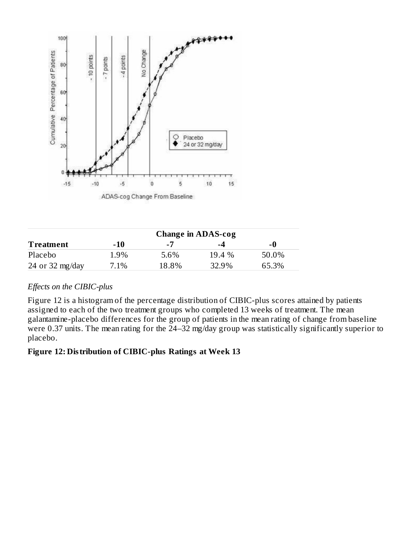

|                  | <b>Change in ADAS-cog</b> |       |          |       |  |  |  |
|------------------|---------------------------|-------|----------|-------|--|--|--|
| <b>Treatment</b> | -10                       | -7    | -4       | -0    |  |  |  |
| Placebo          | 1.9%                      | 5.6%  | $19.4\%$ | 50.0% |  |  |  |
| 24 or 32 mg/day  | 7.1%                      | 18.8% | 32.9%    | 65.3% |  |  |  |

# *Effects on the CIBIC-plus*

Figure 12 is a histogram of the percentage distribution of CIBIC-plus scores attained by patients assigned to each of the two treatment groups who completed 13 weeks of treatment. The mean galantamine-placebo differences for the group of patients in the mean rating of change from baseline were 0.37 units. The mean rating for the 24–32 mg/day group was statistically significantly superior to placebo.

#### **Figure 12: Distribution of CIBIC-plus Ratings at Week 13**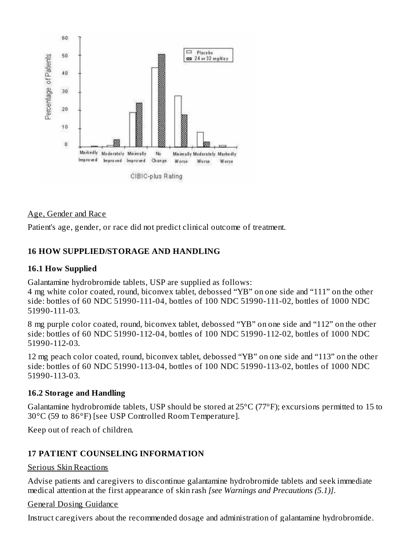

#### Age, Gender and Race

Patient's age, gender, or race did not predict clinical outcome of treatment.

#### **16 HOW SUPPLIED/STORAGE AND HANDLING**

#### **16.1 How Supplied**

Galantamine hydrobromide tablets, USP are supplied as follows:

4 mg white color coated, round, biconvex tablet, debossed "YB" on one side and "111" on the other side: bottles of 60 NDC 51990-111-04, bottles of 100 NDC 51990-111-02, bottles of 1000 NDC 51990-111-03.

8 mg purple color coated, round, biconvex tablet, debossed "YB" on one side and "112" on the other side: bottles of 60 NDC 51990-112-04, bottles of 100 NDC 51990-112-02, bottles of 1000 NDC 51990-112-03.

12 mg peach color coated, round, biconvex tablet, debossed "YB" on one side and "113" on the other side: bottles of 60 NDC 51990-113-04, bottles of 100 NDC 51990-113-02, bottles of 1000 NDC 51990-113-03.

#### **16.2 Storage and Handling**

Galantamine hydrobromide tablets, USP should be stored at 25°C (77°F); excursions permitted to 15 to 30°C (59 to 86°F) [see USP Controlled Room Temperature].

Keep out of reach of children.

#### **17 PATIENT COUNSELING INFORMATION**

#### Serious Skin Reactions

Advise patients and caregivers to discontinue galantamine hydrobromide tablets and seek immediate medical attention at the first appearance of skin rash *[see Warnings and Precautions (5.1)]*.

#### General Dosing Guidance

Instruct caregivers about the recommended dosage and administration of galantamine hydrobromide.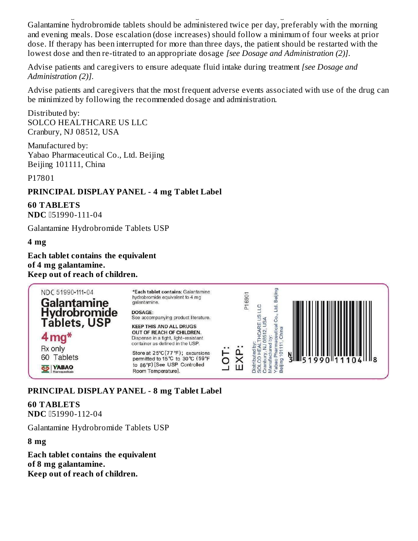Instruct caregivers about the recommended dosage and administration of galantamine hydrobromide. Galantamine hydrobromide tablets should be administered twice per day, preferably with the morning and evening meals. Dose escalation (dose increases) should follow a minimum of four weeks at prior dose. If therapy has been interrupted for more than three days, the patient should be restarted with the lowest dose and then re-titrated to an appropriate dosage *[see Dosage and Administration (2)]*.

Advise patients and caregivers to ensure adequate fluid intake during treatment *[see Dosage and Administration (2)]*.

Advise patients and caregivers that the most frequent adverse events associated with use of the drug can be minimized by following the recommended dosage and administration.

Distributed by: SOLCO HEALTHCARE US LLC Cranbury, NJ 08512, USA

Manufactured by: Yabao Pharmaceutical Co., Ltd. Beijing Beijing 101111, China

P17801

#### **PRINCIPAL DISPLAY PANEL - 4 mg Tablet Label**

**60 TABLETS NDC**  $151990-111-04$ 

Galantamine Hydrobromide Tablets USP

#### **4 mg**

**Each tablet contains the equivalent of 4 mg galantamine. Keep out of reach of children.**

| NDC 51990-111-04<br><b>Galantamine</b><br>Hydrobromide | *Each tablet contains: Galantamine<br>hydrobromide equivalent to 4 mg<br>galantamine.<br>DOSAGE:<br>See accompanying product literature. | P <sub>1690</sub> |                 |
|--------------------------------------------------------|------------------------------------------------------------------------------------------------------------------------------------------|-------------------|-----------------|
| <b>Táblets, USP</b><br>$4 \,\mathrm{mg}^*$             | <b>KEEP THIS AND ALL DRUGS</b><br>OUT OF REACH OF CHILDREN.<br>Dispense in a tight, light-resistant<br>container as defined in the USP.  |                   |                 |
| Rx only<br>Tablets                                     | Store at $25^{\circ}C(77^{\circ}F)$ ; excursions<br>permitted to 15℃ to 30℃ (59°F                                                        |                   | 31351990 111104 |
| <b>YABAO</b>                                           | to 86°F) [See USP Controlled<br>Room Temperature].                                                                                       |                   |                 |

**PRINCIPAL DISPLAY PANEL - 8 mg Tablet Label**

**60 TABLETS NDC**  $151990-112-04$ 

Galantamine Hydrobromide Tablets USP

**8 mg**

**Each tablet contains the equivalent of 8 mg galantamine. Keep out of reach of children.**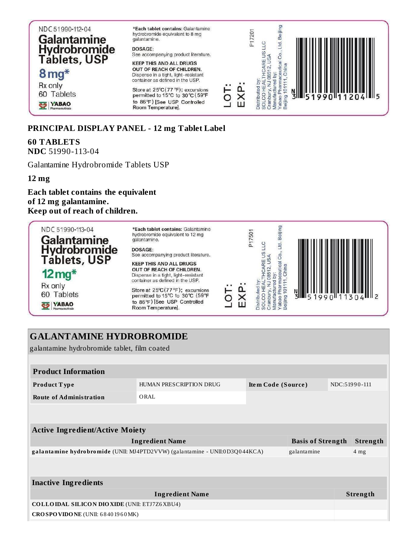| NDC 51990-112-04<br><b>Galantamine</b><br><b>Hydrobromide</b><br><b>Tablets, USP</b> | *Each tablet contains: Galantamine<br>hydrobromide equivalent to 8 mg<br>galantamine.<br>DOSAGE:<br>See accompanying product literature.<br><b>KEEP THIS AND ALL DRUGS</b> |  | P17201 |  |  |                  |
|--------------------------------------------------------------------------------------|----------------------------------------------------------------------------------------------------------------------------------------------------------------------------|--|--------|--|--|------------------|
| $8 \,\mathrm{mg}^*$                                                                  | OUT OF REACH OF CHILDREN.<br>Dispense in a tight, light-resistant<br>container as defined in the USP.                                                                      |  |        |  |  |                  |
| Rx only<br>60 Tablets                                                                | Store at 25°C (77 °F); excursions<br>permitted to 15°C to 30 °C (59°F                                                                                                      |  |        |  |  | $3  $ 51990 1120 |
| <b>YABAO</b>                                                                         | to 86°F) [See USP Controlled<br>Room Temperature].                                                                                                                         |  |        |  |  |                  |

#### **PRINCIPAL DISPLAY PANEL - 12 mg Tablet Label**

# **60 TABLETS**

**NDC** 51990-113-04

Galantamine Hydrobromide Tablets USP

**12 mg**

**Each tablet contains the equivalent of 12 mg galantamine. Keep out of reach of children.**

| NDC 51990-113-04<br><b>Galantamine</b><br>Hydrobromide | *Each tablet contains: Galantamine<br>hydrobromide equivalent to 12 mg<br>galantamine.<br>DOSAGE:<br>See accompanying product literature. |  | P <sub>17501</sub> |                                              |
|--------------------------------------------------------|-------------------------------------------------------------------------------------------------------------------------------------------|--|--------------------|----------------------------------------------|
| <b>Tablets, USP</b><br>$12 \,\mathrm{mg}^*$            | <b>KEEP THIS AND ALL DRUGS</b><br>OUT OF REACH OF CHILDREN.<br>Dispense in a tight, light-resistant<br>container as defined in the USP.   |  |                    |                                              |
| Rx only<br>60 Tablets                                  | Store at 25°C(77°F); excursions<br>permitted to 15°C to 30℃ (59°F                                                                         |  |                    | $\frac{1}{2}$ 1990 $\frac{1}{2}$ 113<br>ا اخ |
| <b>YABAO</b>                                           | to 86°F) [See USP Controlled<br>Room Temperature].                                                                                        |  |                    |                                              |

| <b>GALANTAMINE HYDROBROMIDE</b>                     |                                                                             |                    |                          |               |                 |
|-----------------------------------------------------|-----------------------------------------------------------------------------|--------------------|--------------------------|---------------|-----------------|
| galantamine hydrobromide tablet, film coated        |                                                                             |                    |                          |               |                 |
|                                                     |                                                                             |                    |                          |               |                 |
| <b>Product Information</b>                          |                                                                             |                    |                          |               |                 |
| Product Type                                        | HUMAN PRESCRIPTION DRUG                                                     | Item Code (Source) |                          | NDC:51990-111 |                 |
| <b>Route of Administration</b>                      | ORAL                                                                        |                    |                          |               |                 |
|                                                     |                                                                             |                    |                          |               |                 |
|                                                     |                                                                             |                    |                          |               |                 |
| <b>Active Ingredient/Active Moiety</b>              |                                                                             |                    |                          |               |                 |
|                                                     | <b>Ingredient Name</b>                                                      |                    | <b>Basis of Strength</b> |               | <b>Strength</b> |
|                                                     | galantamine hydrobromide (UNII: MJ4PTD2VVW) (galantamine - UNII:0D3Q044KCA) |                    | galantamine              |               | 4 <sub>mg</sub> |
|                                                     |                                                                             |                    |                          |               |                 |
|                                                     |                                                                             |                    |                          |               |                 |
| <b>Inactive Ingredients</b>                         |                                                                             |                    |                          |               |                 |
|                                                     | <b>Ingredient Name</b>                                                      |                    |                          |               | Strength        |
| <b>COLLOIDAL SILICON DIOXIDE (UNII: ETJ7Z6XBU4)</b> |                                                                             |                    |                          |               |                 |
| CROSPOVIDONE (UNII: 68401960MK)                     |                                                                             |                    |                          |               |                 |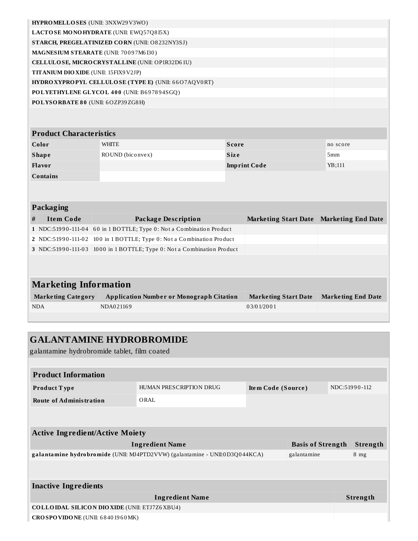| HYPROMELLOSES (UNII: 3NXW29V3WO)      |                                                     |              |                                           |                 |  |  |  |  |
|---------------------------------------|-----------------------------------------------------|--------------|-------------------------------------------|-----------------|--|--|--|--|
|                                       | LACTOSE MONOHYDRATE (UNII: EWQ57Q8I5X)              |              |                                           |                 |  |  |  |  |
|                                       | STARCH, PREGELATINIZED CORN (UNII: O8232NY3SJ)      |              |                                           |                 |  |  |  |  |
|                                       | MAGNESIUM STEARATE (UNII: 70097M6I30)               |              |                                           |                 |  |  |  |  |
|                                       | CELLULOSE, MICRO CRYSTALLINE (UNII: OP1R32D61U)     |              |                                           |                 |  |  |  |  |
| TITANIUM DIO XIDE (UNII: 15FIX9 V2JP) |                                                     |              |                                           |                 |  |  |  |  |
|                                       | HYDROXYPROPYL CELLULOSE (TYPE E) (UNII: 66O7AQV0RT) |              |                                           |                 |  |  |  |  |
|                                       | POLYETHYLENE GLYCOL 400 (UNII: B697894SGQ)          |              |                                           |                 |  |  |  |  |
| POLYSORBATE 80 (UNII: 6OZP39ZG8H)     |                                                     |              |                                           |                 |  |  |  |  |
|                                       |                                                     |              |                                           |                 |  |  |  |  |
|                                       |                                                     |              |                                           |                 |  |  |  |  |
| <b>Product Characteristics</b>        |                                                     |              |                                           |                 |  |  |  |  |
| Color                                 | <b>WHITE</b>                                        | <b>Score</b> |                                           | no score        |  |  |  |  |
| <b>Shape</b>                          | ROUND (biconvex)                                    | <b>Size</b>  |                                           | 5 <sub>mm</sub> |  |  |  |  |
| <b>Flavor</b>                         |                                                     |              | <b>Imprint Code</b>                       | YB;111          |  |  |  |  |
| <b>Contains</b>                       |                                                     |              |                                           |                 |  |  |  |  |
|                                       |                                                     |              |                                           |                 |  |  |  |  |
|                                       |                                                     |              |                                           |                 |  |  |  |  |
| Packaging                             |                                                     |              |                                           |                 |  |  |  |  |
| <b>Item Code</b><br>#                 | <b>Package Description</b>                          |              | Marketing Start Date   Marketing End Date |                 |  |  |  |  |
|                                       | $\frac{1}{2}$                                       |              |                                           |                 |  |  |  |  |

| H | Trem Code | Package Description                                                    | Marketing Start Date Marketing End Date |  |
|---|-----------|------------------------------------------------------------------------|-----------------------------------------|--|
|   |           | 1 NDC:51990-111-04 60 in 1 BOTTLE; Type 0: Not a Combination Product   |                                         |  |
|   |           | 2 NDC:51990-111-02 100 in 1 BOTTLE; Type 0: Not a Combination Product  |                                         |  |
|   |           | 3 NDC:51990-111-03 1000 in 1 BOTTLE; Type 0: Not a Combination Product |                                         |  |
|   |           |                                                                        |                                         |  |

# **Marketing Information**

| <b>Marketing Category</b> | <b>Application Number or Monograph Citation</b> | Marketing Start Date | <b>Marketing End Date</b> |
|---------------------------|-------------------------------------------------|----------------------|---------------------------|
| <b>NDA</b>                | NDA021169                                       | 03/01/2001           |                           |

# **GALANTAMINE HYDROBROMIDE** galantamine hydrobromide tablet, film coated **Product Information Product Type HUMAN PRESCRIPTION DRUG Item Code (Source)** NDC:51990-112 **Route of Administration** ORAL **Active Ingredient/Active Moiety Ingredient Name Basis of Strength Strength galantamine hydrobromide** (UNII: MJ4PTD2VVW) (galantamine - UNII:0D3Q044KCA) galantamine 8 mg **Inactive Ingredients Ingredient Name Strength COLLOIDAL SILICON DIOXIDE** (UNII: ETJ7Z6XBU4)

**CROSPOVIDONE** (UNII: 6 8 40 19 6 0MK)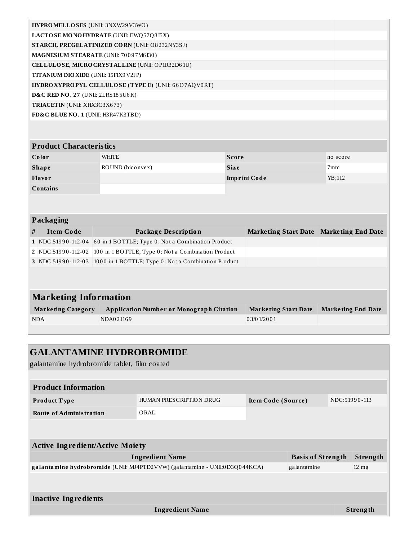| HYPROMELLOSES (UNII: 3NXW29V3WO)                      |  |
|-------------------------------------------------------|--|
| LACTOSE MONOHYDRATE (UNII: EWQ57Q8I5X)                |  |
| <b>STARCH, PREGELATINIZED CORN (UNII: O8232NY3SJ)</b> |  |
| MAGNESIUM STEARATE (UNII: 70097M6I30)                 |  |
| CELLULOSE, MICRO CRYSTALLINE (UNII: OP1R32D61U)       |  |
| <b>TITANIUM DIO XIDE (UNII: 15FIX9 V2JP)</b>          |  |
| HYDROXYPROPYL CELLULOSE (TYPE E) (UNII: 66O7AQV0RT)   |  |
| <b>D&amp;C RED NO. 27 (UNII: 2LRS 185U6K)</b>         |  |
| <b>TRIACETIN</b> (UNII: XHX3C3X673)                   |  |
| FD&C BLUE NO. 1 (UNII: H3R47K3TBD)                    |  |
|                                                       |  |
|                                                       |  |
| <b>Product Characteristics</b>                        |  |

| -------------------- |                  |                     |          |
|----------------------|------------------|---------------------|----------|
| Color                | <b>WHITE</b>     | Score               | no score |
| <b>Shape</b>         | ROUND (biconvex) | <b>Size</b>         | 7mm      |
| Flavor               |                  | <b>Imprint Code</b> | YB:112   |
| <b>Contains</b>      |                  |                     |          |

#### **Packaging**

| Item Code | Package Description                                                    | Marketing Start Date Marketing End Date |  |
|-----------|------------------------------------------------------------------------|-----------------------------------------|--|
|           | 1 NDC:51990-112-04 60 in 1 BOTTLE; Type 0: Not a Combination Product   |                                         |  |
|           | 2 NDC:51990-112-02 100 in 1 BOTTLE; Type 0: Not a Combination Product  |                                         |  |
|           | 3 NDC:51990-112-03 1000 in 1 BOTTLE; Type 0: Not a Combination Product |                                         |  |
|           |                                                                        |                                         |  |

| <b>Marketing Information</b> |                                                 |                      |                    |
|------------------------------|-------------------------------------------------|----------------------|--------------------|
| <b>Marketing Category</b>    | <b>Application Number or Monograph Citation</b> | Marketing Start Date | Marketing End Date |
| <b>NDA</b>                   | NDA021169                                       | 03/01/2001           |                    |

| <b>GALANTAMINE HYDROBROMIDE</b>                                                            |                                              |                    |  |                 |                 |
|--------------------------------------------------------------------------------------------|----------------------------------------------|--------------------|--|-----------------|-----------------|
|                                                                                            | galantamine hydrobromide tablet, film coated |                    |  |                 |                 |
|                                                                                            |                                              |                    |  |                 |                 |
| <b>Product Information</b>                                                                 |                                              |                    |  |                 |                 |
| Product Type                                                                               | HUMAN PRESCRIPTION DRUG                      | Item Code (Source) |  | NDC:51990-113   |                 |
| <b>Route of Administration</b><br>ORAL                                                     |                                              |                    |  |                 |                 |
|                                                                                            |                                              |                    |  |                 |                 |
|                                                                                            |                                              |                    |  |                 |                 |
| <b>Active Ingredient/Active Moiety</b>                                                     |                                              |                    |  |                 |                 |
| <b>Basis of Strength</b><br><b>Ingredient Name</b>                                         |                                              |                    |  |                 | <b>Strength</b> |
| galantamine hydrobromide (UNII: MJ4PTD2VVW) (galantamine - UNII:0D3Q044KCA)<br>galantamine |                                              |                    |  | $12 \text{ mg}$ |                 |
|                                                                                            |                                              |                    |  |                 |                 |
|                                                                                            |                                              |                    |  |                 |                 |
| <b>Inactive Ingredients</b>                                                                |                                              |                    |  |                 |                 |
| <b>Ingredient Name</b>                                                                     |                                              |                    |  |                 | <b>Strength</b> |